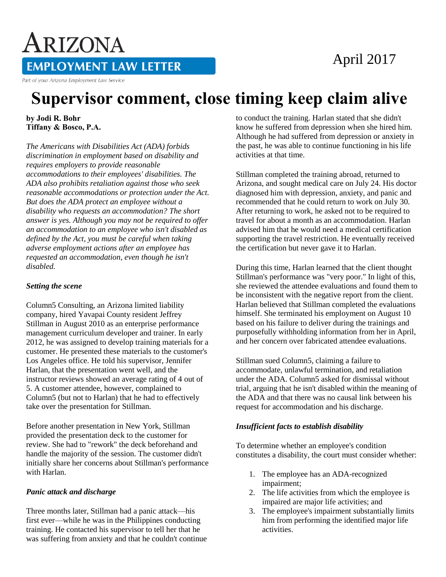# April 2017

**EMPLOYMENT LAW LETTER** 

Part of your Arizona Employment Law Service

ARIZONA

# **Supervisor comment, close timing keep claim alive**

**by Jodi R. Bohr Tiffany & Bosco, P.A.** 

*The Americans with Disabilities Act (ADA) forbids discrimination in employment based on disability and requires employers to provide reasonable accommodations to their employees' disabilities. The ADA also prohibits retaliation against those who seek reasonable accommodations or protection under the Act. But does the ADA protect an employee without a disability who requests an accommodation? The short answer is yes. Although you may not be required to offer an accommodation to an employee who isn't disabled as defined by the Act, you must be careful when taking adverse employment actions after an employee has requested an accommodation, even though he isn't disabled.*

# *Setting the scene*

Column5 Consulting, an Arizona limited liability company, hired Yavapai County resident Jeffrey Stillman in August 2010 as an enterprise performance management curriculum developer and trainer. In early 2012, he was assigned to develop training materials for a customer. He presented these materials to the customer's Los Angeles office. He told his supervisor, Jennifer Harlan, that the presentation went well, and the instructor reviews showed an average rating of 4 out of 5. A customer attendee, however, complained to Column5 (but not to Harlan) that he had to effectively take over the presentation for Stillman.

Before another presentation in New York, Stillman provided the presentation deck to the customer for review. She had to "rework" the deck beforehand and handle the majority of the session. The customer didn't initially share her concerns about Stillman's performance with Harlan.

#### *Panic attack and discharge*

Three months later, Stillman had a panic attack—his first ever—while he was in the Philippines conducting training. He contacted his supervisor to tell her that he was suffering from anxiety and that he couldn't continue to conduct the training. Harlan stated that she didn't know he suffered from depression when she hired him. Although he had suffered from depression or anxiety in the past, he was able to continue functioning in his life activities at that time.

Stillman completed the training abroad, returned to Arizona, and sought medical care on July 24. His doctor diagnosed him with depression, anxiety, and panic and recommended that he could return to work on July 30. After returning to work, he asked not to be required to travel for about a month as an accommodation. Harlan advised him that he would need a medical certification supporting the travel restriction. He eventually received the certification but never gave it to Harlan.

During this time, Harlan learned that the client thought Stillman's performance was "very poor." In light of this, she reviewed the attendee evaluations and found them to be inconsistent with the negative report from the client. Harlan believed that Stillman completed the evaluations himself. She terminated his employment on August 10 based on his failure to deliver during the trainings and purposefully withholding information from her in April, and her concern over fabricated attendee evaluations.

Stillman sued Column5, claiming a failure to accommodate, unlawful termination, and retaliation under the ADA. Column5 asked for dismissal without trial, arguing that he isn't disabled within the meaning of the ADA and that there was no causal link between his request for accommodation and his discharge.

# *Insufficient facts to establish disability*

To determine whether an employee's condition constitutes a disability, the court must consider whether:

- 1. The employee has an ADA-recognized impairment;
- 2. The life activities from which the employee is impaired are major life activities; and
- 3. The employee's impairment substantially limits him from performing the identified major life activities.